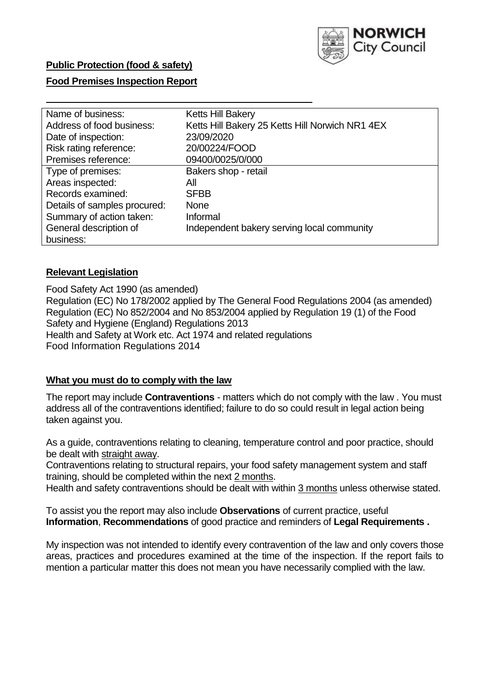

# **Food Premises Inspection Report**

| Name of business:            | <b>Ketts Hill Bakery</b>                        |
|------------------------------|-------------------------------------------------|
| Address of food business:    | Ketts Hill Bakery 25 Ketts Hill Norwich NR1 4EX |
| Date of inspection:          | 23/09/2020                                      |
| Risk rating reference:       | 20/00224/FOOD                                   |
| Premises reference:          | 09400/0025/0/000                                |
| Type of premises:            | Bakers shop - retail                            |
| Areas inspected:             | All                                             |
| Records examined:            | <b>SFBB</b>                                     |
| Details of samples procured: | <b>None</b>                                     |
| Summary of action taken:     | Informal                                        |
| General description of       | Independent bakery serving local community      |
| business:                    |                                                 |

### **Relevant Legislation**

 Food Safety Act 1990 (as amended) Regulation (EC) No 178/2002 applied by The General Food Regulations 2004 (as amended) Regulation (EC) No 852/2004 and No 853/2004 applied by Regulation 19 (1) of the Food Safety and Hygiene (England) Regulations 2013 Health and Safety at Work etc. Act 1974 and related regulations Food Information Regulations 2014

### **What you must do to comply with the law**

 The report may include **Contraventions** - matters which do not comply with the law . You must address all of the contraventions identified; failure to do so could result in legal action being taken against you.

 As a guide, contraventions relating to cleaning, temperature control and poor practice, should be dealt with straight away.

 Contraventions relating to structural repairs, your food safety management system and staff training, should be completed within the next 2 months.

Health and safety contraventions should be dealt with within 3 months unless otherwise stated.

 To assist you the report may also include **Observations** of current practice, useful **Information**, **Recommendations** of good practice and reminders of **Legal Requirements .** 

 My inspection was not intended to identify every contravention of the law and only covers those areas, practices and procedures examined at the time of the inspection. If the report fails to mention a particular matter this does not mean you have necessarily complied with the law.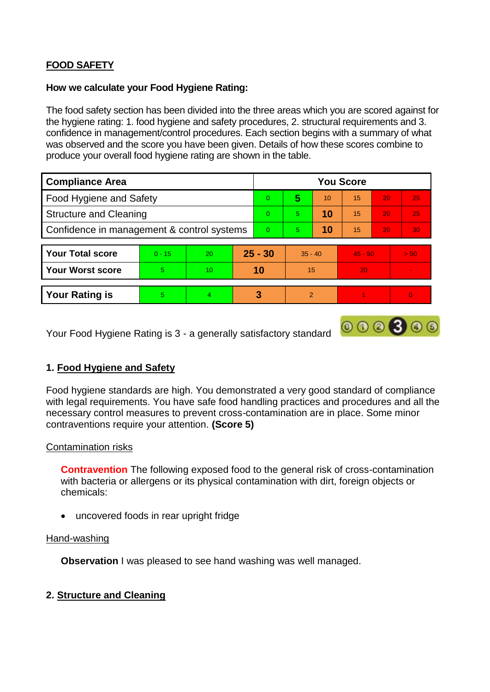# **FOOD SAFETY**

### **How we calculate your Food Hygiene Rating:**

 The food safety section has been divided into the three areas which you are scored against for the hygiene rating: 1. food hygiene and safety procedures, 2. structural requirements and 3. confidence in management/control procedures. Each section begins with a summary of what was observed and the score you have been given. Details of how these scores combine to produce your overall food hygiene rating are shown in the table.

| <b>Compliance Area</b>                     |          |    |           | <b>You Score</b> |                |    |           |    |                          |  |  |
|--------------------------------------------|----------|----|-----------|------------------|----------------|----|-----------|----|--------------------------|--|--|
| Food Hygiene and Safety                    |          |    |           | $\Omega$         | 5              | 10 | 15        | 20 | 25                       |  |  |
| <b>Structure and Cleaning</b>              |          |    | $\Omega$  | 5                | 10             | 15 | 20        | 25 |                          |  |  |
| Confidence in management & control systems |          |    | $\Omega$  | 5                | 10             | 15 | 20        | 30 |                          |  |  |
|                                            |          |    |           |                  |                |    |           |    |                          |  |  |
| <b>Your Total score</b>                    | $0 - 15$ | 20 | $25 - 30$ |                  | $35 - 40$      |    | $45 - 50$ |    | > 50                     |  |  |
| <b>Your Worst score</b>                    | 5        | 10 | 10        |                  | 15             |    | 20        |    | $\overline{\phantom{a}}$ |  |  |
|                                            |          |    |           |                  |                |    |           |    |                          |  |  |
| <b>Your Rating is</b>                      | 5        | 4  |           | 3                | $\overline{2}$ |    |           |    |                          |  |  |

Your Food Hygiene Rating is 3 - a generally satisfactory standard

# **1. Food Hygiene and Safety**

 with legal requirements. You have safe food handling practices and procedures and all the Food hygiene standards are high. You demonstrated a very good standard of compliance necessary control measures to prevent cross-contamination are in place. Some minor contraventions require your attention. **(Score 5)** 

 $000000$ 

### Contamination risks

 **Contravention** The following exposed food to the general risk of cross-contamination with bacteria or allergens or its physical contamination with dirt, foreign objects or chemicals:

uncovered foods in rear upright fridge

#### Hand-washing

**Observation** I was pleased to see hand washing was well managed.

### **2. Structure and Cleaning**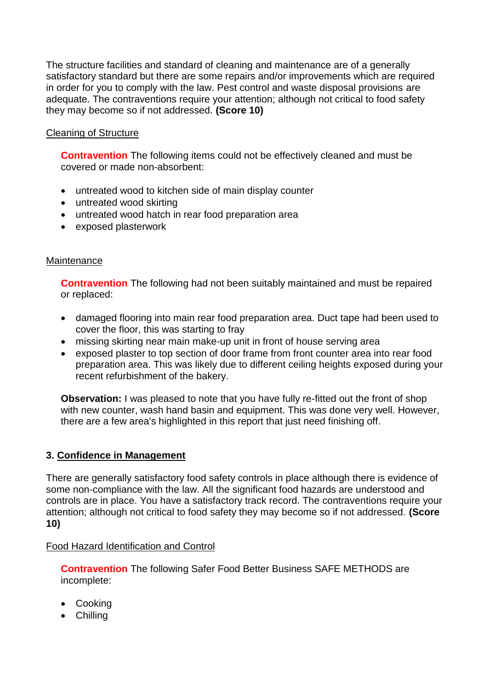The structure facilities and standard of cleaning and maintenance are of a generally adequate. The contraventions require your attention; although not critical to food safety satisfactory standard but there are some repairs and/or improvements which are required in order for you to comply with the law. Pest control and waste disposal provisions are they may become so if not addressed. **(Score 10)** 

# Cleaning of Structure

 **Contravention** The following items could not be effectively cleaned and must be covered or made non-absorbent:

- untreated wood to kitchen side of main display counter
- untreated wood skirting
- untreated wood hatch in rear food preparation area
- exposed plasterwork

### **Maintenance**

**Contravention** The following had not been suitably maintained and must be repaired or replaced:

- damaged flooring into main rear food preparation area. Duct tape had been used to cover the floor, this was starting to fray
- missing skirting near main make-up unit in front of house serving area
- exposed plaster to top section of door frame from front counter area into rear food preparation area. This was likely due to different ceiling heights exposed during your recent refurbishment of the bakery.

 with new counter, wash hand basin and equipment. This was done very well. However, **Observation:** I was pleased to note that you have fully re-fitted out the front of shop there are a few area's highlighted in this report that just need finishing off.

### **3. Confidence in Management**

There are generally satisfactory food safety controls in place although there is evidence of some non-compliance with the law. All the significant food hazards are understood and controls are in place. You have a satisfactory track record. The contraventions require your attention; although not critical to food safety they may become so if not addressed. **(Score 10)** 

### Food Hazard Identification and Control

**Contravention** The following Safer Food Better Business SAFE METHODS are incomplete:

- Cooking
- Chilling